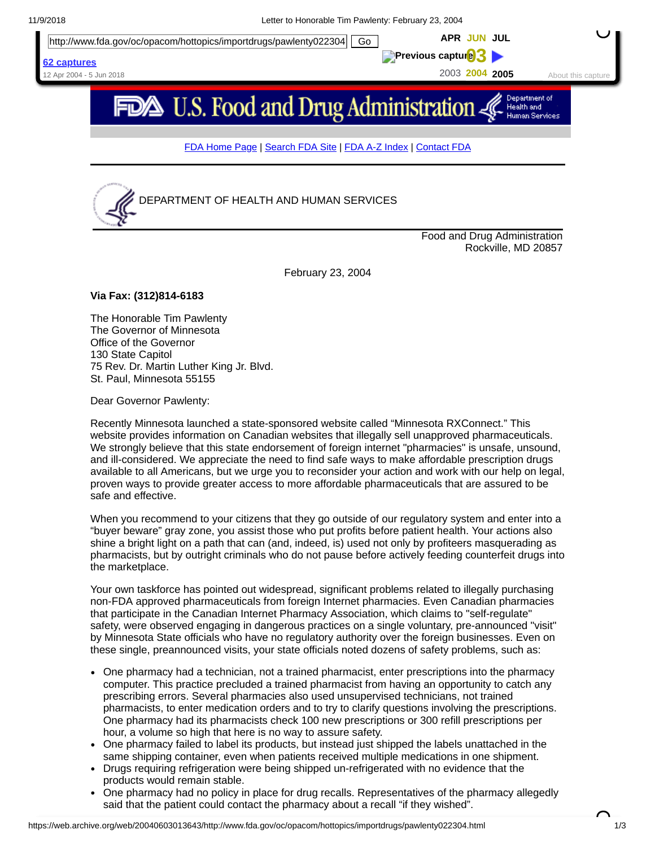



Food and Drug Administration Rockville, MD 20857

February 23, 2004

## **Via Fax: (312)814-6183**

The Honorable Tim Pawlenty The Governor of Minnesota Office of the Governor 130 State Capitol 75 Rev. Dr. Martin Luther King Jr. Blvd. St. Paul, Minnesota 55155

Dear Governor Pawlenty:

Recently Minnesota launched a state-sponsored website called "Minnesota RXConnect." This website provides information on Canadian websites that illegally sell unapproved pharmaceuticals. We strongly believe that this state endorsement of foreign internet "pharmacies" is unsafe, unsound, and ill-considered. We appreciate the need to find safe ways to make affordable prescription drugs available to all Americans, but we urge you to reconsider your action and work with our help on legal, proven ways to provide greater access to more affordable pharmaceuticals that are assured to be safe and effective.

When you recommend to your citizens that they go outside of our regulatory system and enter into a "buyer beware" gray zone, you assist those who put profits before patient health. Your actions also shine a bright light on a path that can (and, indeed, is) used not only by profiteers masquerading as pharmacists, but by outright criminals who do not pause before actively feeding counterfeit drugs into the marketplace.

Your own taskforce has pointed out widespread, significant problems related to illegally purchasing non-FDA approved pharmaceuticals from foreign Internet pharmacies. Even Canadian pharmacies that participate in the Canadian Internet Pharmacy Association, which claims to "self-regulate" safety, were observed engaging in dangerous practices on a single voluntary, pre-announced "visit" by Minnesota State officials who have no regulatory authority over the foreign businesses. Even on these single, preannounced visits, your state officials noted dozens of safety problems, such as:

- One pharmacy had a technician, not a trained pharmacist, enter prescriptions into the pharmacy computer. This practice precluded a trained pharmacist from having an opportunity to catch any prescribing errors. Several pharmacies also used unsupervised technicians, not trained pharmacists, to enter medication orders and to try to clarify questions involving the prescriptions. One pharmacy had its pharmacists check 100 new prescriptions or 300 refill prescriptions per hour, a volume so high that here is no way to assure safety.
- One pharmacy failed to label its products, but instead just shipped the labels unattached in the same shipping container, even when patients received multiple medications in one shipment.
- Drugs requiring refrigeration were being shipped un-refrigerated with no evidence that the products would remain stable.
- One pharmacy had no policy in place for drug recalls. Representatives of the pharmacy allegedly said that the patient could contact the pharmacy about a recall "if they wished".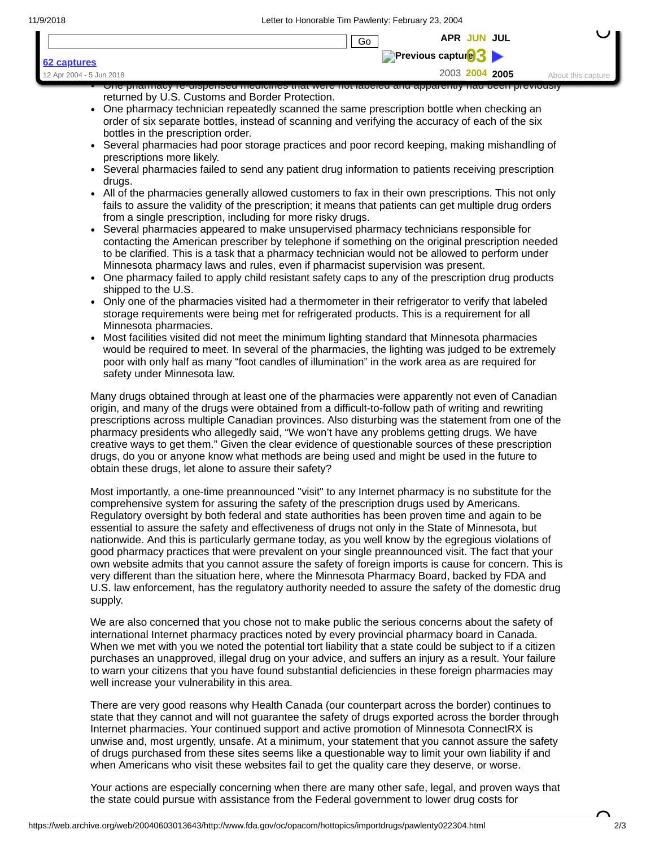comprehensive system for assuring the safety of the prescription drugs used by Americans. Regulatory oversight by both federal and state authorities has been proven time and again to be essential to assure the safety and effectiveness of drugs not only in the State of Minnesota, but nationwide. And this is particularly germane today, as you well know by the egregious violations of good pharmacy practices that were prevalent on your single preannounced visit. The fact that your own website admits that you cannot assure the safety of foreign imports is cause for concern. This is very different than the situation here, where the Minnesota Pharmacy Board, backed by FDA and U.S. law enforcement, has the regulatory authority needed to assure the safety of the domestic drug supply.

We are also concerned that you chose not to make public the serious concerns about the safety of international Internet pharmacy practices noted by every provincial pharmacy board in Canada. When we met with you we noted the potential tort liability that a state could be subject to if a citizen purchases an unapproved, illegal drug on your advice, and suffers an injury as a result. Your failure to warn your citizens that you have found substantial deficiencies in these foreign pharmacies may well increase your vulnerability in this area.

There are very good reasons why Health Canada (our counterpart across the border) continues to state that they cannot and will not guarantee the safety of drugs exported across the border through Internet pharmacies. Your continued support and active promotion of Minnesota ConnectRX is unwise and, most urgently, unsafe. At a minimum, your statement that you cannot assure the safety of drugs purchased from these sites seems like a questionable way to limit your own liability if and when Americans who visit these websites fail to get the quality care they deserve, or worse.

Your actions are especially concerning when there are many other safe, legal, and proven ways that the state could pursue with assistance from the Federal government to lower drug costs for